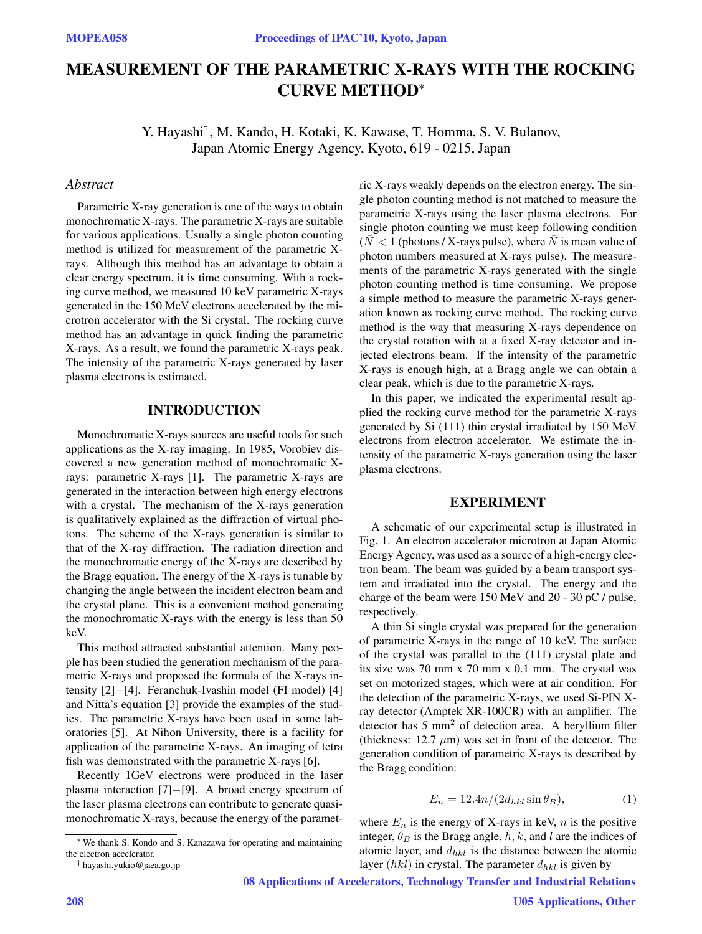# **MEASUREMENT OF THE PARAMETRIC X-RAYS WITH THE ROCKING CURVE METHOD**<sup>∗</sup>

Y. Hayashi*†* , M. Kando, H. Kotaki, K. Kawase, T. Homma, S. V. Bulanov, Japan Atomic Energy Agency, Kyoto, 619 - 0215, Japan

## *Abstract*

Parametric X-ray generation is one of the ways to obtain monochromatic X-rays. The parametric X-rays are suitable for various applications. Usually a single photon counting method is utilized for measurement of the parametric Xrays. Although this method has an advantage to obtain a clear energy spectrum, it is time consuming. With a rocking curve method, we measured 10 keV parametric X-rays generated in the 150 MeV electrons accelerated by the microtron accelerator with the Si crystal. The rocking curve method has an advantage in quick finding the parametric X-rays. As a result, we found the parametric X-rays peak. The intensity of the parametric X-rays generated by laser plasma electrons is estimated.

#### **INTRODUCTION**

Monochromatic X-rays sources are useful tools for such applications as the X-ray imaging. In 1985, Vorobiev discovered a new generation method of monochromatic Xrays: parametric X-rays [1]. The parametric X-rays are generated in the interaction between high energy electrons with a crystal. The mechanism of the X-rays generation is qualitatively explained as the diffraction of virtual photons. The scheme of the X-rays generation is similar to that of the X-ray diffraction. The radiation direction and the monochromatic energy of the X-rays are described by the Bragg equation. The energy of the X-rays is tunable by changing the angle between the incident electron beam and the crystal plane. This is a convenient method generating the monochromatic X-rays with the energy is less than 50 keV.

This method attracted substantial attention. Many people has been studied the generation mechanism of the parametric X-rays and proposed the formula of the X-rays intensity [2]−[4]. Feranchuk-Ivashin model (FI model) [4] and Nitta's equation [3] provide the examples of the studies. The parametric X-rays have been used in some laboratories [5]. At Nihon University, there is a facility for application of the parametric X-rays. An imaging of tetra fish was demonstrated with the parametric X-rays [6].

Recently 1GeV electrons were produced in the laser plasma interaction [7]−[9]. A broad energy spectrum of the laser plasma electrons can contribute to generate quasimonochromatic X-rays, because the energy of the parametric X-rays weakly depends on the electron energy. The single photon counting method is not matched to measure the parametric X-rays using the laser plasma electrons. For single photon counting we must keep following condition  $(N < 1$  (photons / X-rays pulse), where  $\overline{N}$  is mean value of photon numbers measured at X-rays pulse). The measurements of the parametric X-rays generated with the single photon counting method is time consuming. We propose a simple method to measure the parametric X-rays generation known as rocking curve method. The rocking curve method is the way that measuring X-rays dependence on the crystal rotation with at a fixed X-ray detector and injected electrons beam. If the intensity of the parametric X-rays is enough high, at a Bragg angle we can obtain a clear peak, which is due to the parametric X-rays.

In this paper, we indicated the experimental result applied the rocking curve method for the parametric X-rays generated by Si (111) thin crystal irradiated by 150 MeV electrons from electron accelerator. We estimate the intensity of the parametric X-rays generation using the laser plasma electrons.

#### **EXPERIMENT**

A schematic of our experimental setup is illustrated in Fig. 1. An electron accelerator microtron at Japan Atomic Energy Agency, was used as a source of a high-energy electron beam. The beam was guided by a beam transport system and irradiated into the crystal. The energy and the charge of the beam were 150 MeV and 20 - 30 pC / pulse, respectively.

A thin Si single crystal was prepared for the generation of parametric X-rays in the range of 10 keV. The surface of the crystal was parallel to the (111) crystal plate and its size was 70 mm x 70 mm x 0.1 mm. The crystal was set on motorized stages, which were at air condition. For the detection of the parametric X-rays, we used Si-PIN Xray detector (Amptek XR-100CR) with an amplifier. The detector has  $5 \text{ mm}^2$  of detection area. A beryllium filter (thickness:  $12.7 \mu m$ ) was set in front of the detector. The generation condition of parametric X-rays is described by the Bragg condition:

$$
E_n = 12.4n/(2d_{hkl}\sin\theta_B),\tag{1}
$$

where  $E_n$  is the energy of X-rays in keV,  $n$  is the positive integer,  $\theta_B$  is the Bragg angle,  $h, k$ , and  $l$  are the indices of atomic layer, and d*hkl* is the distance between the atomic layer  $(hkl)$  in crystal. The parameter  $d_{hkl}$  is given by

08 Applications of Accelerators, Technology Transfer and Industrial Relations

<sup>∗</sup>We thank S. Kondo and S. Kanazawa for operating and maintaining the electron accelerator.

<sup>†</sup> hayashi.yukio@jaea.go.jp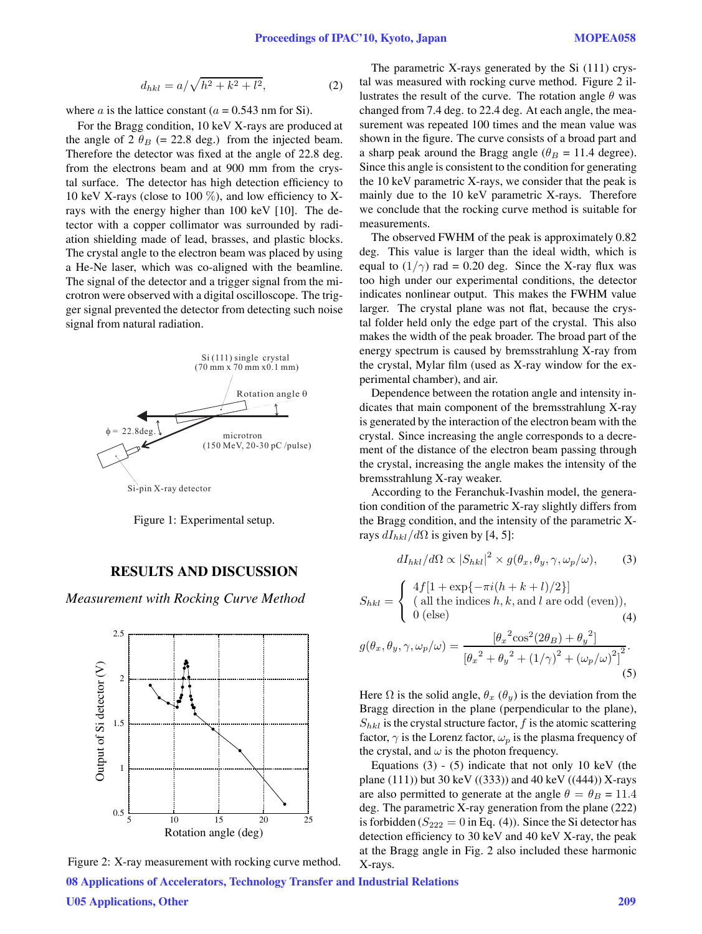$$
d_{hkl} = a/\sqrt{h^2 + k^2 + l^2},
$$
 (2)

where a is the lattice constant ( $a = 0.543$  nm for Si).

For the Bragg condition, 10 keV X-rays are produced at the angle of 2  $\theta_B$  (= 22.8 deg.) from the injected beam. Therefore the detector was fixed at the angle of 22.8 deg. from the electrons beam and at 900 mm from the crystal surface. The detector has high detection efficiency to 10 keV X-rays (close to 100 %), and low efficiency to Xrays with the energy higher than 100 keV [10]. The detector with a copper collimator was surrounded by radiation shielding made of lead, brasses, and plastic blocks. The crystal angle to the electron beam was placed by using a He-Ne laser, which was co-aligned with the beamline. The signal of the detector and a trigger signal from the microtron were observed with a digital oscilloscope. The trigger signal prevented the detector from detecting such noise signal from natural radiation.



Figure 1: Experimental setup.

### **RESULTS AND DISCUSSION**

*Measurement with Rocking Curve Method*





08 Applications of Accelerators, Technology Transfer and Industrial Relations

U05 Applications, Other 209

The parametric X-rays generated by the Si (111) crystal was measured with rocking curve method. Figure 2 illustrates the result of the curve. The rotation angle  $\theta$  was changed from 7.4 deg. to 22.4 deg. At each angle, the measurement was repeated 100 times and the mean value was shown in the figure. The curve consists of a broad part and a sharp peak around the Bragg angle ( $\theta_B = 11.4$  degree). Since this angle is consistent to the condition for generating the 10 keV parametric X-rays, we consider that the peak is mainly due to the 10 keV parametric X-rays. Therefore we conclude that the rocking curve method is suitable for measurements.

The observed FWHM of the peak is approximately 0.82 deg. This value is larger than the ideal width, which is equal to  $(1/\gamma)$  rad = 0.20 deg. Since the X-ray flux was too high under our experimental conditions, the detector indicates nonlinear output. This makes the FWHM value larger. The crystal plane was not flat, because the crystal folder held only the edge part of the crystal. This also makes the width of the peak broader. The broad part of the energy spectrum is caused by bremsstrahlung X-ray from the crystal, Mylar film (used as X-ray window for the experimental chamber), and air.

Dependence between the rotation angle and intensity indicates that main component of the bremsstrahlung X-ray is generated by the interaction of the electron beam with the crystal. Since increasing the angle corresponds to a decrement of the distance of the electron beam passing through the crystal, increasing the angle makes the intensity of the bremsstrahlung X-ray weaker.

According to the Feranchuk-Ivashin model, the generation condition of the parametric X-ray slightly differs from the Bragg condition, and the intensity of the parametric Xrays  $dI_{hkl}/d\Omega$  is given by [4, 5]:

$$
dI_{hkl}/d\Omega \propto |S_{hkl}|^2 \times g(\theta_x, \theta_y, \gamma, \omega_p/\omega), \quad (3)
$$

$$
S_{hkl} = \begin{cases} 4f[1 + \exp\{-\pi i(h + k + l)/2\}] \\ \text{(all the indices } h, k, \text{ and } l \text{ are odd (even)}), \\ 0 \text{ (else)} \end{cases}
$$
  

$$
g(\theta_x, \theta_y, \gamma, \omega_p/\omega) = \frac{[\theta_x^2 \cos^2(2\theta_B) + \theta_y^2]}{2\pi^2}.
$$

$$
g(\theta_x, \theta_y, \gamma, \omega_p/\omega) = \frac{v_x \cos(2\theta + \theta_y)}{\left[\theta_x^2 + \theta_y^2 + (1/\gamma)^2 + (\omega_p/\omega)^2\right]^2}.
$$
\n(5)

Here  $\Omega$  is the solid angle,  $\theta_x$  ( $\theta_y$ ) is the deviation from the Bragg direction in the plane (perpendicular to the plane),  $S_{hkl}$  is the crystal structure factor,  $f$  is the atomic scattering factor,  $\gamma$  is the Lorenz factor,  $\omega_p$  is the plasma frequency of the crystal, and  $\omega$  is the photon frequency.

Equations  $(3)$  -  $(5)$  indicate that not only 10 keV (the plane (111)) but 30 keV ((333)) and 40 keV ((444)) X-rays are also permitted to generate at the angle  $\theta = \theta_B = 11.4$ deg. The parametric X-ray generation from the plane (222) is forbidden ( $S_{222} = 0$  in Eq. (4)). Since the Si detector has detection efficiency to 30 keV and 40 keV X-ray, the peak at the Bragg angle in Fig. 2 also included these harmonic X-rays.